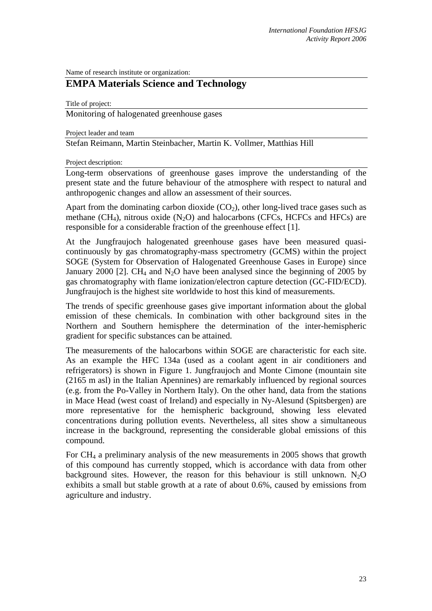Name of research institute or organization:

# **EMPA Materials Science and Technology**

Title of project:

Monitoring of halogenated greenhouse gases

Project leader and team

Stefan Reimann, Martin Steinbacher, Martin K. Vollmer, Matthias Hill

Project description:

Long-term observations of greenhouse gases improve the understanding of the present state and the future behaviour of the atmosphere with respect to natural and anthropogenic changes and allow an assessment of their sources.

Apart from the dominating carbon dioxide  $(CO<sub>2</sub>)$ , other long-lived trace gases such as methane  $(CH_4)$ , nitrous oxide  $(N_2O)$  and halocarbons (CFCs, HCFCs and HFCs) are responsible for a considerable fraction of the greenhouse effect [1].

At the Jungfraujoch halogenated greenhouse gases have been measured quasicontinuously by gas chromatography-mass spectrometry (GCMS) within the project SOGE (System for Observation of Halogenated Greenhouse Gases in Europe) since January 2000 [2]. CH<sub>4</sub> and N<sub>2</sub>O have been analysed since the beginning of 2005 by gas chromatography with flame ionization/electron capture detection (GC-FID/ECD). Jungfraujoch is the highest site worldwide to host this kind of measurements.

The trends of specific greenhouse gases give important information about the global emission of these chemicals. In combination with other background sites in the Northern and Southern hemisphere the determination of the inter-hemispheric gradient for specific substances can be attained.

The measurements of the halocarbons within SOGE are characteristic for each site. As an example the HFC 134a (used as a coolant agent in air conditioners and refrigerators) is shown in Figure 1. Jungfraujoch and Monte Cimone (mountain site (2165 m asl) in the Italian Apennines) are remarkably influenced by regional sources (e.g. from the Po-Valley in Northern Italy). On the other hand, data from the stations in Mace Head (west coast of Ireland) and especially in Ny-Alesund (Spitsbergen) are more representative for the hemispheric background, showing less elevated concentrations during pollution events. Nevertheless, all sites show a simultaneous increase in the background, representing the considerable global emissions of this compound.

For CH4 a preliminary analysis of the new measurements in 2005 shows that growth of this compound has currently stopped, which is accordance with data from other background sites. However, the reason for this behaviour is still unknown.  $N_2O$ exhibits a small but stable growth at a rate of about 0.6%, caused by emissions from agriculture and industry.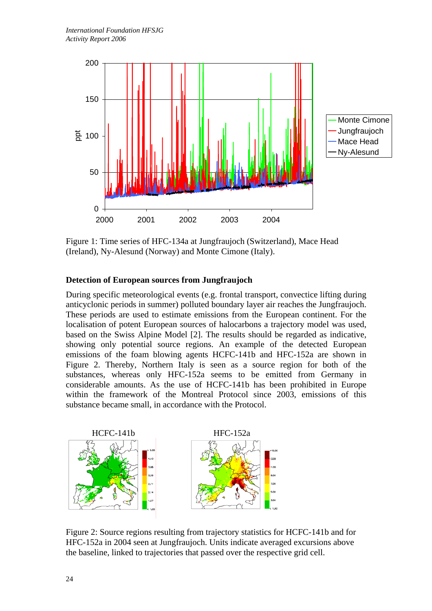

Figure 1: Time series of HFC-134a at Jungfraujoch (Switzerland), Mace Head (Ireland), Ny-Alesund (Norway) and Monte Cimone (Italy).

# **Detection of European sources from Jungfraujoch**

During specific meteorological events (e.g. frontal transport, convectice lifting during anticyclonic periods in summer) polluted boundary layer air reaches the Jungfraujoch. These periods are used to estimate emissions from the European continent. For the localisation of potent European sources of halocarbons a trajectory model was used, based on the Swiss Alpine Model [2]. The results should be regarded as indicative, showing only potential source regions. An example of the detected European emissions of the foam blowing agents HCFC-141b and HFC-152a are shown in Figure 2. Thereby, Northern Italy is seen as a source region for both of the substances, whereas only HFC-152a seems to be emitted from Germany in considerable amounts. As the use of HCFC-141b has been prohibited in Europe within the framework of the Montreal Protocol since 2003, emissions of this substance became small, in accordance with the Protocol.



Figure 2: Source regions resulting from trajectory statistics for HCFC-141b and for HFC-152a in 2004 seen at Jungfraujoch. Units indicate averaged excursions above the baseline, linked to trajectories that passed over the respective grid cell.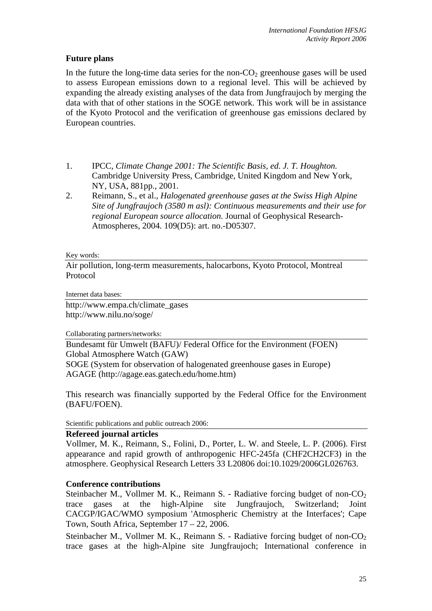# **Future plans**

In the future the long-time data series for the non- $CO<sub>2</sub>$  greenhouse gases will be used to assess European emissions down to a regional level. This will be achieved by expanding the already existing analyses of the data from Jungfraujoch by merging the data with that of other stations in the SOGE network. This work will be in assistance of the Kyoto Protocol and the verification of greenhouse gas emissions declared by European countries.

- 1. IPCC, *Climate Change 2001: The Scientific Basis, ed. J. T. Houghton.* Cambridge University Press, Cambridge, United Kingdom and New York, NY, USA, 881pp., 2001.
- 2. Reimann, S., et al., *Halogenated greenhouse gases at the Swiss High Alpine Site of Jungfraujoch (3580 m asl): Continuous measurements and their use for regional European source allocation.* Journal of Geophysical Research-Atmospheres, 2004. 109(D5): art. no.-D05307.

#### Key words:

Air pollution, long-term measurements, halocarbons, Kyoto Protocol, Montreal Protocol

Internet data bases:

http://www.empa.ch/climate\_gases http://www.nilu.no/soge/

Collaborating partners/networks:

Bundesamt für Umwelt (BAFU)/ Federal Office for the Environment (FOEN) Global Atmosphere Watch (GAW)

SOGE (System for observation of halogenated greenhouse gases in Europe) AGAGE (http://agage.eas.gatech.edu/home.htm)

This research was financially supported by the Federal Office for the Environment (BAFU/FOEN).

Scientific publications and public outreach 2006:

# **Refereed journal articles**

Vollmer, M. K., Reimann, S., Folini, D., Porter, L. W. and Steele, L. P. (2006). First appearance and rapid growth of anthropogenic HFC-245fa (CHF2CH2CF3) in the atmosphere. Geophysical Research Letters 33 L20806 doi:10.1029/2006GL026763.

# **Conference contributions**

Steinbacher M., Vollmer M. K., Reimann S. - Radiative forcing budget of non- $CO<sub>2</sub>$ trace gases at the high-Alpine site Jungfraujoch, Switzerland; Joint CACGP/IGAC/WMO symposium 'Atmospheric Chemistry at the Interfaces'; Cape Town, South Africa, September 17 – 22, 2006.

Steinbacher M., Vollmer M. K., Reimann S. - Radiative forcing budget of non- $CO<sub>2</sub>$ trace gases at the high-Alpine site Jungfraujoch; International conference in